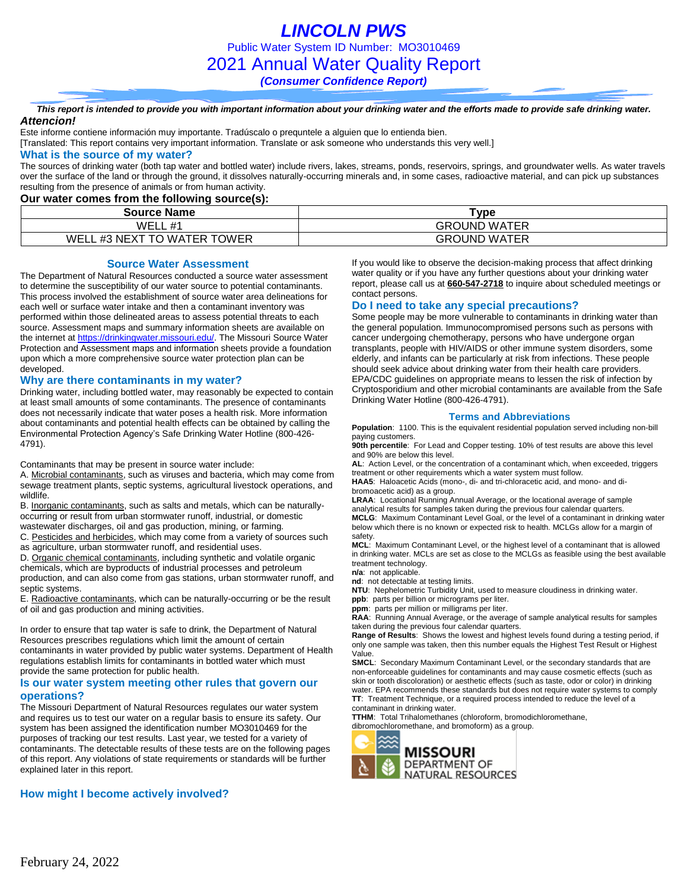*LINCOLN PWS* Public Water System ID Number: MO3010469 2021 Annual Water Quality Report *(Consumer Confidence Report)*

*This report is intended to provide you with important information about your drinking water and the efforts made to provide safe drinking water. Attencion!*

Este informe contiene información muy importante. Tradúscalo o prequntele a alguien que lo entienda bien.

[Translated: This report contains very important information. Translate or ask someone who understands this very well.]

#### **What is the source of my water?**

The sources of drinking water (both tap water and bottled water) include rivers, lakes, streams, ponds, reservoirs, springs, and groundwater wells. As water travels over the surface of the land or through the ground, it dissolves naturally-occurring minerals and, in some cases, radioactive material, and can pick up substances resulting from the presence of animals or from human activity.

### **Our water comes from the following source(s):**

| <b>Source Name</b>                        | Type                |  |  |  |  |  |
|-------------------------------------------|---------------------|--|--|--|--|--|
| WEL<br>#1<br>.                            | <b>GROUND WATER</b> |  |  |  |  |  |
| WEL<br>) WATER TOWER<br>°0<br>#3<br>NEX د | <b>GROUND WATER</b> |  |  |  |  |  |

#### **Source Water Assessment**

The Department of Natural Resources conducted a source water assessment to determine the susceptibility of our water source to potential contaminants. This process involved the establishment of source water area delineations for each well or surface water intake and then a contaminant inventory was performed within those delineated areas to assess potential threats to each source. Assessment maps and summary information sheets are available on the internet a[t https://drinkingwater.missouri.edu/.](https://drinkingwater.missouri.edu/) The Missouri Source Water Protection and Assessment maps and information sheets provide a foundation upon which a more comprehensive source water protection plan can be developed.

#### **Why are there contaminants in my water?**

Drinking water, including bottled water, may reasonably be expected to contain at least small amounts of some contaminants. The presence of contaminants does not necessarily indicate that water poses a health risk. More information about contaminants and potential health effects can be obtained by calling the Environmental Protection Agency's Safe Drinking Water Hotline (800-426- 4791).

Contaminants that may be present in source water include:

A. Microbial contaminants, such as viruses and bacteria, which may come from sewage treatment plants, septic systems, agricultural livestock operations, and wildlife.

B. Inorganic contaminants, such as salts and metals, which can be naturallyoccurring or result from urban stormwater runoff, industrial, or domestic

wastewater discharges, oil and gas production, mining, or farming.

C. Pesticides and herbicides, which may come from a variety of sources such as agriculture, urban stormwater runoff, and residential uses.

D. Organic chemical contaminants, including synthetic and volatile organic chemicals, which are byproducts of industrial processes and petroleum production, and can also come from gas stations, urban stormwater runoff, and septic systems.

E. Radioactive contaminants, which can be naturally-occurring or be the result of oil and gas production and mining activities.

In order to ensure that tap water is safe to drink, the Department of Natural Resources prescribes regulations which limit the amount of certain contaminants in water provided by public water systems. Department of Health regulations establish limits for contaminants in bottled water which must provide the same protection for public health.

#### **Is our water system meeting other rules that govern our operations?**

The Missouri Department of Natural Resources regulates our water system and requires us to test our water on a regular basis to ensure its safety. Our system has been assigned the identification number MO3010469 for the purposes of tracking our test results. Last year, we tested for a variety of contaminants. The detectable results of these tests are on the following pages of this report. Any violations of state requirements or standards will be further explained later in this report.

## **How might I become actively involved?**

If you would like to observe the decision-making process that affect drinking water quality or if you have any further questions about your drinking water report, please call us at **660-547-2718** to inquire about scheduled meetings or contact persons.

#### **Do I need to take any special precautions?**

Some people may be more vulnerable to contaminants in drinking water than the general population. Immunocompromised persons such as persons with cancer undergoing chemotherapy, persons who have undergone organ transplants, people with HIV/AIDS or other immune system disorders, some elderly, and infants can be particularly at risk from infections. These people should seek advice about drinking water from their health care providers. EPA/CDC guidelines on appropriate means to lessen the risk of infection by Cryptosporidium and other microbial contaminants are available from the Safe Drinking Water Hotline (800-426-4791).

#### **Terms and Abbreviations**

**Population**: 1100. This is the equivalent residential population served including non-bill paying customers.

**90th percentile**: For Lead and Copper testing. 10% of test results are above this level and 90% are below this level.

**AL**: Action Level, or the concentration of a contaminant which, when exceeded, triggers treatment or other requirements which a water system must follow.

**HAA5**: Haloacetic Acids (mono-, di- and tri-chloracetic acid, and mono- and dibromoacetic acid) as a group.

**LRAA**: Locational Running Annual Average, or the locational average of sample analytical results for samples taken during the previous four calendar quarters.

**MCLG**: Maximum Contaminant Level Goal, or the level of a contaminant in drinking water below which there is no known or expected risk to health. MCLGs allow for a margin of safety.

**MCL**: Maximum Contaminant Level, or the highest level of a contaminant that is allowed in drinking water. MCLs are set as close to the MCLGs as feasible using the best available treatment technology.

**n/a**: not applicable.

**nd**: not detectable at testing limits.

**NTU**: Nephelometric Turbidity Unit, used to measure cloudiness in drinking water.

**ppb**: parts per billion or micrograms per liter. **ppm**: parts per million or milligrams per liter.

**RAA**: Running Annual Average, or the average of sample analytical results for samples taken during the previous four calendar quarters.

**Range of Results**: Shows the lowest and highest levels found during a testing period, if only one sample was taken, then this number equals the Highest Test Result or Highest Value.

**SMCL**: Secondary Maximum Contaminant Level, or the secondary standards that are non-enforceable guidelines for contaminants and may cause cosmetic effects (such as skin or tooth discoloration) or aesthetic effects (such as taste, odor or color) in drinking water. EPA recommends these standards but does not require water systems to comply **TT**: Treatment Technique, or a required process intended to reduce the level of a contaminant in drinking water.

**TTHM**: Total Trihalomethanes (chloroform, bromodichloromethane,